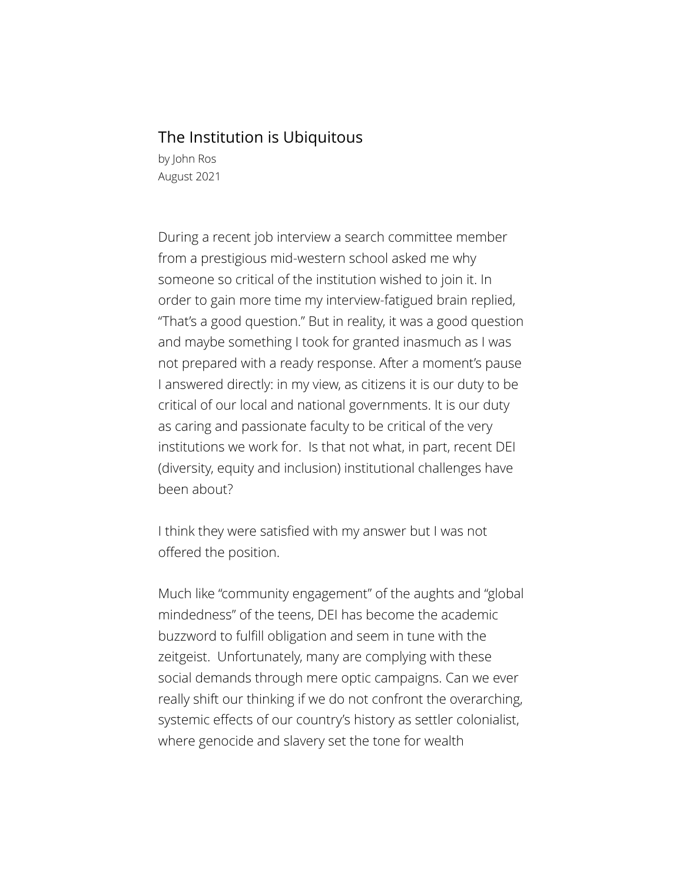## The Institution is Ubiquitous

by John Ros August 2021

During a recent job interview a search committee member from a prestigious mid-western school asked me why someone so critical of the institution wished to join it. In order to gain more time my interview-fatigued brain replied, "That's a good question." But in reality, it was a good question and maybe something I took for granted inasmuch as I was not prepared with a ready response. After a moment's pause I answered directly: in my view, as citizens it is our duty to be critical of our local and national governments. It is our duty as caring and passionate faculty to be critical of the very institutions we work for. Is that not what, in part, recent DEI (diversity, equity and inclusion) institutional challenges have been about?

I think they were satisfied with my answer but I was not offered the position.

Much like "community engagement" of the aughts and "global mindedness" of the teens, DEI has become the academic buzzword to fulfill obligation and seem in tune with the zeitgeist. Unfortunately, many are complying with these social demands through mere optic campaigns. Can we ever really shift our thinking if we do not confront the overarching, systemic effects of our country's history as settler colonialist, where genocide and slavery set the tone for wealth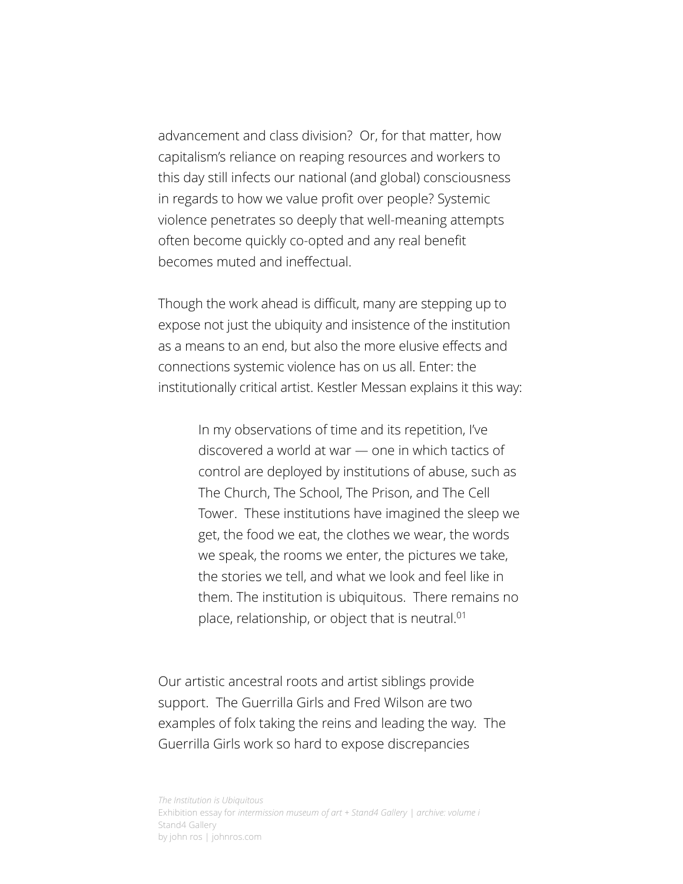advancement and class division? Or, for that matter, how capitalism's reliance on reaping resources and workers to this day still infects our national (and global) consciousness in regards to how we value profit over people? Systemic violence penetrates so deeply that well-meaning attempts often become quickly co-opted and any real benefit becomes muted and ineffectual.

Though the work ahead is difficult, many are stepping up to expose not just the ubiquity and insistence of the institution as a means to an end, but also the more elusive effects and connections systemic violence has on us all. Enter: the institutionally critical artist. Kestler Messan explains it this way:

> In my observations of time and its repetition, I've discovered a world at war — one in which tactics of control are deployed by institutions of abuse, such as The Church, The School, The Prison, and The Cell Tower. These institutions have imagined the sleep we get, the food we eat, the clothes we wear, the words we speak, the rooms we enter, the pictures we take, the stories we tell, and what we look and feel like in them. The institution is ubiquitous. There remains no place, relationship, or object that is neutral.<sup>01</sup>

Our artistic ancestral roots and artist siblings provide support. The Guerrilla Girls and Fred Wilson are two examples of folx taking the reins and leading the way. The Guerrilla Girls work so hard to expose discrepancies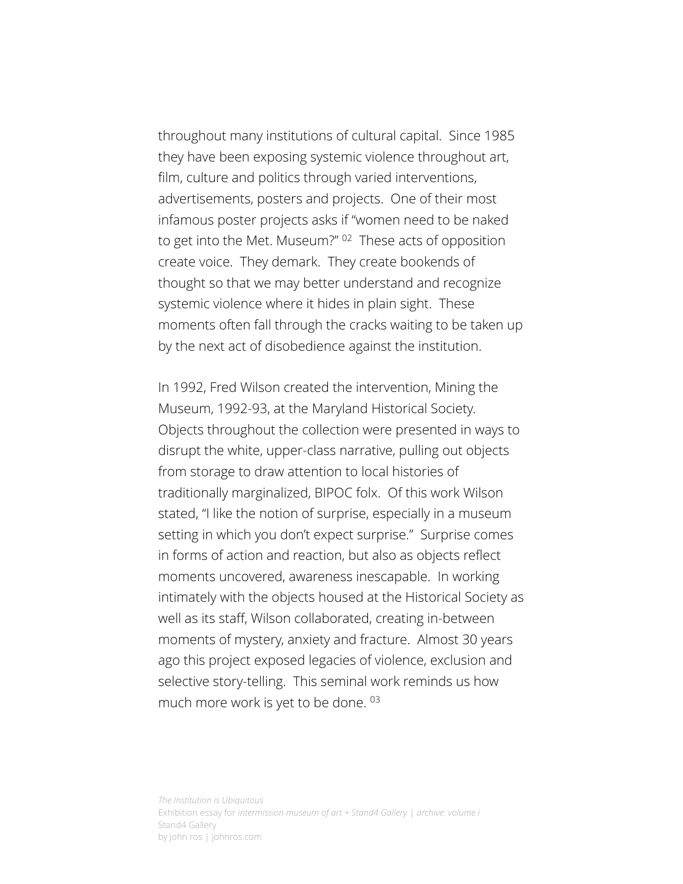throughout many institutions of cultural capital. Since 1985 they have been exposing systemic violence throughout art, film, culture and politics through varied interventions, advertisements, posters and projects. One of their most infamous poster projects asks if "women need to be naked to get into the Met. Museum?" 02 These acts of opposition create voice. They demark. They create bookends of thought so that we may better understand and recognize systemic violence where it hides in plain sight. These moments often fall through the cracks waiting to be taken up by the next act of disobedience against the institution.

In 1992, Fred Wilson created the intervention, Mining the Museum, 1992-93, at the Maryland Historical Society. Objects throughout the collection were presented in ways to disrupt the white, upper-class narrative, pulling out objects from storage to draw attention to local histories of traditionally marginalized, BIPOC folx. Of this work Wilson stated, "I like the notion of surprise, especially in a museum setting in which you don't expect surprise." Surprise comes in forms of action and reaction, but also as objects reflect moments uncovered, awareness inescapable. In working intimately with the objects housed at the Historical Society as well as its staff, Wilson collaborated, creating in-between moments of mystery, anxiety and fracture. Almost 30 years ago this project exposed legacies of violence, exclusion and selective story-telling. This seminal work reminds us how much more work is yet to be done. <sup>03</sup>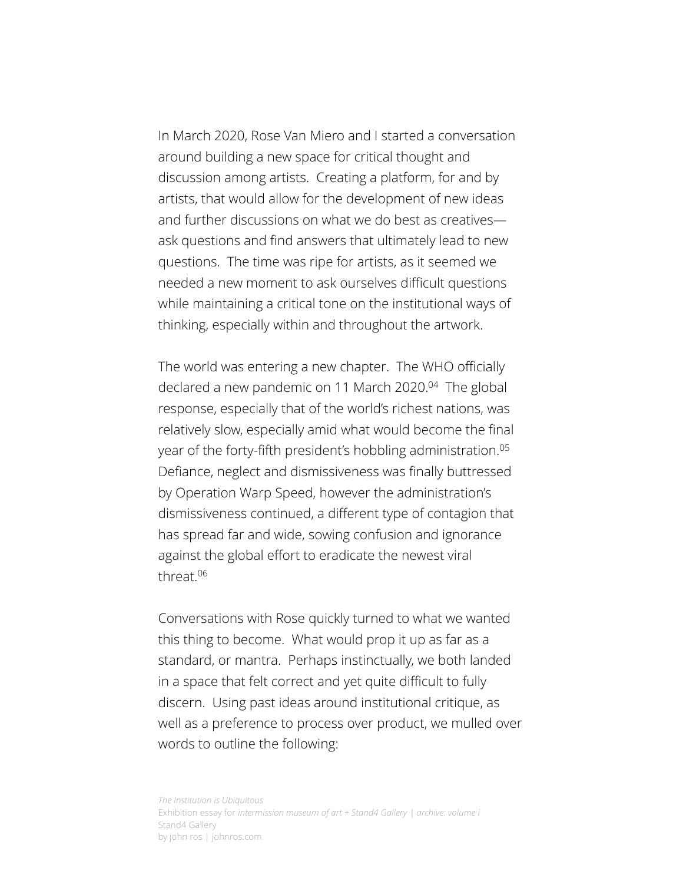In March 2020, Rose Van Miero and I started a conversation around building a new space for critical thought and discussion among artists. Creating a platform, for and by artists, that would allow for the development of new ideas and further discussions on what we do best as creatives ask questions and find answers that ultimately lead to new questions. The time was ripe for artists, as it seemed we needed a new moment to ask ourselves difficult questions while maintaining a critical tone on the institutional ways of thinking, especially within and throughout the artwork.

The world was entering a new chapter. The WHO officially declared a new pandemic on 11 March 2020.<sup>04</sup> The global response, especially that of the world's richest nations, was relatively slow, especially amid what would become the final year of the forty-fifth president's hobbling administration.<sup>05</sup> Defiance, neglect and dismissiveness was finally buttressed by Operation Warp Speed, however the administration's dismissiveness continued, a different type of contagion that has spread far and wide, sowing confusion and ignorance against the global effort to eradicate the newest viral threat.06

Conversations with Rose quickly turned to what we wanted this thing to become. What would prop it up as far as a standard, or mantra. Perhaps instinctually, we both landed in a space that felt correct and yet quite difficult to fully discern. Using past ideas around institutional critique, as well as a preference to process over product, we mulled over words to outline the following: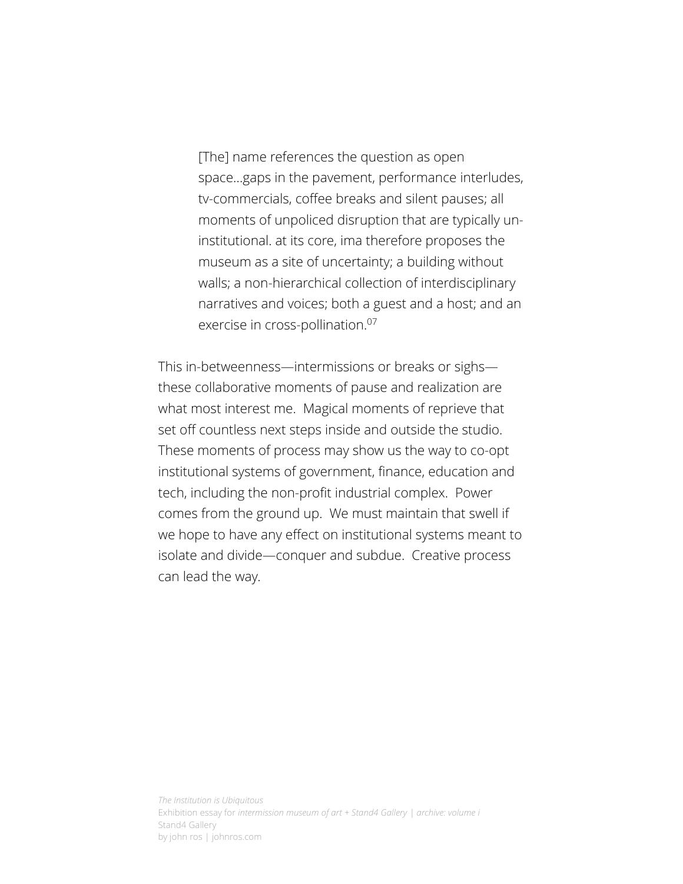[The] name references the question as open space...gaps in the pavement, performance interludes, tv-commercials, coffee breaks and silent pauses; all moments of unpoliced disruption that are typically uninstitutional. at its core, ima therefore proposes the museum as a site of uncertainty; a building without walls; a non-hierarchical collection of interdisciplinary narratives and voices; both a guest and a host; and an exercise in cross-pollination.<sup>07</sup>

This in-betweenness—intermissions or breaks or sighs these collaborative moments of pause and realization are what most interest me. Magical moments of reprieve that set off countless next steps inside and outside the studio. These moments of process may show us the way to co-opt institutional systems of government, finance, education and tech, including the non-profit industrial complex. Power comes from the ground up. We must maintain that swell if we hope to have any effect on institutional systems meant to isolate and divide—conquer and subdue. Creative process can lead the way.